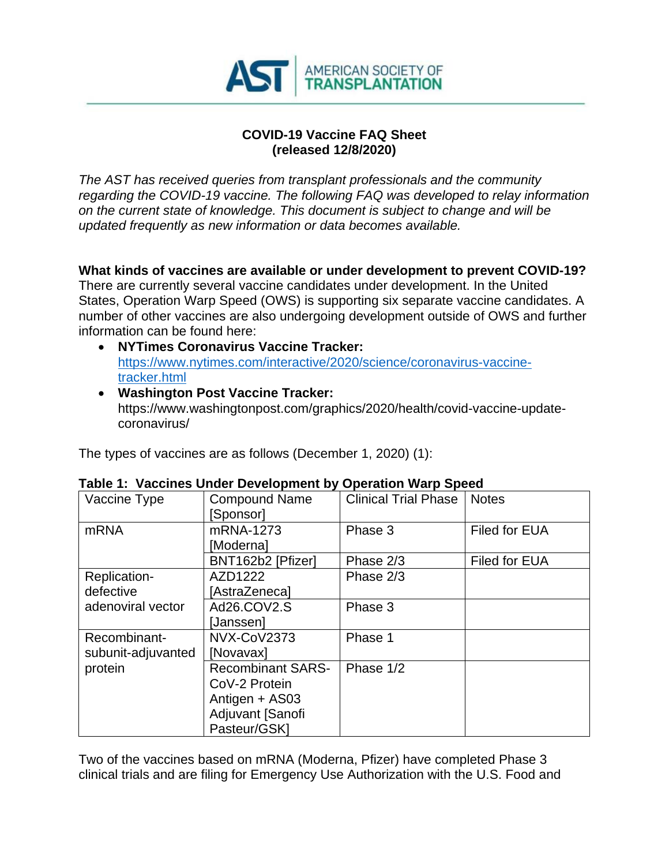

## **COVID-19 Vaccine FAQ Sheet (released 12/8/2020)**

*The AST has received queries from transplant professionals and the community regarding the COVID-19 vaccine. The following FAQ was developed to relay information on the current state of knowledge. This document is subject to change and will be updated frequently as new information or data becomes available.*

**What kinds of vaccines are available or under development to prevent COVID-19?** There are currently several vaccine candidates under development. In the United States, Operation Warp Speed (OWS) is supporting six separate vaccine candidates. A number of other vaccines are also undergoing development outside of OWS and further information can be found here:

- **NYTimes Coronavirus Vaccine Tracker:**  [https://www.nytimes.com/interactive/2020/science/coronavirus-vaccine](https://www.nytimes.com/interactive/2020/science/coronavirus-vaccine-tracker.html)[tracker.html](https://www.nytimes.com/interactive/2020/science/coronavirus-vaccine-tracker.html)
- **Washington Post Vaccine Tracker:** https://www.washingtonpost.com/graphics/2020/health/covid-vaccine-updatecoronavirus/

The types of vaccines are as follows (December 1, 2020) (1):

| Vaccine Type       | <b>Compound Name</b><br>Sponsor] | <b>Clinical Trial Phase</b> | <b>Notes</b>         |
|--------------------|----------------------------------|-----------------------------|----------------------|
| <b>mRNA</b>        | mRNA-1273<br>[Moderna]           | Phase 3                     | <b>Filed for EUA</b> |
|                    | BNT162b2 [Pfizer]                | Phase 2/3                   | Filed for EUA        |
| Replication-       | AZD1222                          | Phase 2/3                   |                      |
| defective          | [AstraZeneca]                    |                             |                      |
| adenoviral vector  | Ad26.COV2.S                      | Phase 3                     |                      |
|                    | [Janssen]                        |                             |                      |
| Recombinant-       | NVX-CoV2373                      | Phase 1                     |                      |
| subunit-adjuvanted | [Novavax]                        |                             |                      |
| protein            | <b>Recombinant SARS-</b>         | Phase 1/2                   |                      |
|                    | CoV-2 Protein                    |                             |                      |
|                    | Antigen + AS03                   |                             |                      |
|                    | Adjuvant [Sanofi                 |                             |                      |
|                    | Pasteur/GSK]                     |                             |                      |

## **Table 1: Vaccines Under Development by Operation Warp Speed**

Two of the vaccines based on mRNA (Moderna, Pfizer) have completed Phase 3 clinical trials and are filing for Emergency Use Authorization with the U.S. Food and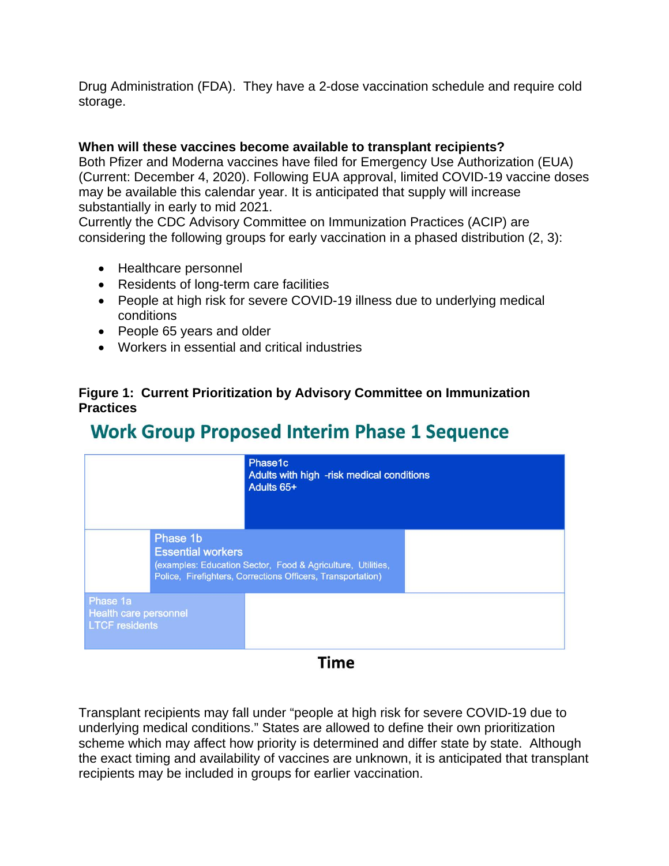Drug Administration (FDA). They have a 2-dose vaccination schedule and require cold storage.

## **When will these vaccines become available to transplant recipients?**

Both Pfizer and Moderna vaccines have filed for Emergency Use Authorization (EUA) (Current: December 4, 2020). Following EUA approval, limited COVID-19 vaccine doses may be available this calendar year. It is anticipated that supply will increase substantially in early to mid 2021.

Currently the CDC Advisory Committee on Immunization Practices (ACIP) are considering the following groups for early vaccination in a phased distribution (2, 3):

- Healthcare personnel
- Residents of long-term care facilities
- People at high risk for severe COVID-19 illness due to underlying medical conditions
- People 65 years and older
- Workers in essential and critical industries

# **Figure 1: Current Prioritization by Advisory Committee on Immunization Practices**

# **Work Group Proposed Interim Phase 1 Sequence**



Transplant recipients may fall under "people at high risk for severe COVID-19 due to underlying medical conditions." States are allowed to define their own prioritization scheme which may affect how priority is determined and differ state by state. Although

recipients may be included in groups for earlier vaccination.

the exact timing and availability of vaccines are unknown, it is anticipated that transplant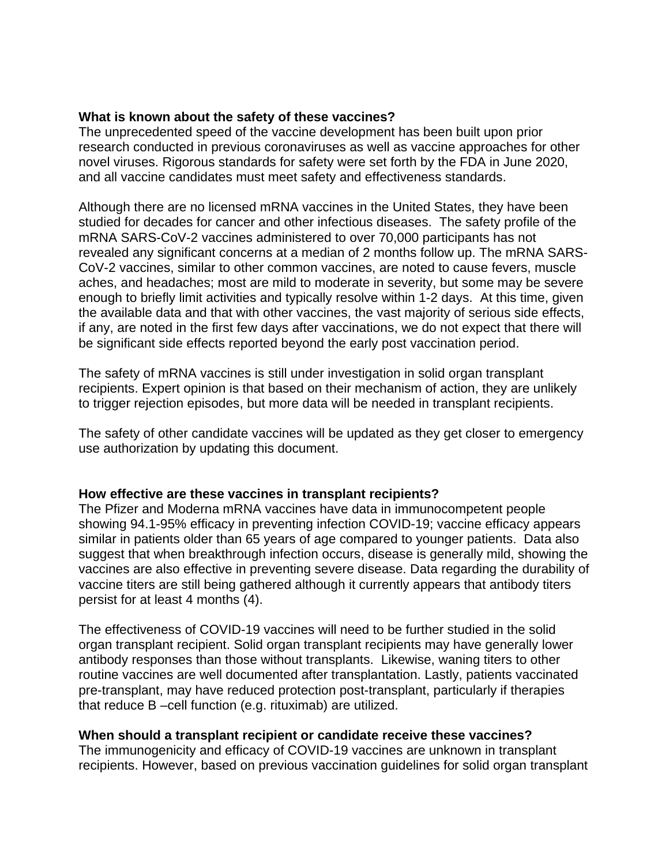### **What is known about the safety of these vaccines?**

The unprecedented speed of the vaccine development has been built upon prior research conducted in previous coronaviruses as well as vaccine approaches for other novel viruses. Rigorous standards for safety were set forth by the FDA in June 2020, and all vaccine candidates must meet safety and effectiveness standards.

Although there are no licensed mRNA vaccines in the United States, they have been studied for decades for cancer and other infectious diseases. The safety profile of the mRNA SARS-CoV-2 vaccines administered to over 70,000 participants has not revealed any significant concerns at a median of 2 months follow up. The mRNA SARS-CoV-2 vaccines, similar to other common vaccines, are noted to cause fevers, muscle aches, and headaches; most are mild to moderate in severity, but some may be severe enough to briefly limit activities and typically resolve within 1-2 days. At this time, given the available data and that with other vaccines, the vast majority of serious side effects, if any, are noted in the first few days after vaccinations, we do not expect that there will be significant side effects reported beyond the early post vaccination period.

The safety of mRNA vaccines is still under investigation in solid organ transplant recipients. Expert opinion is that based on their mechanism of action, they are unlikely to trigger rejection episodes, but more data will be needed in transplant recipients.

The safety of other candidate vaccines will be updated as they get closer to emergency use authorization by updating this document.

#### **How effective are these vaccines in transplant recipients?**

The Pfizer and Moderna mRNA vaccines have data in immunocompetent people showing 94.1-95% efficacy in preventing infection COVID-19; vaccine efficacy appears similar in patients older than 65 years of age compared to younger patients. Data also suggest that when breakthrough infection occurs, disease is generally mild, showing the vaccines are also effective in preventing severe disease. Data regarding the durability of vaccine titers are still being gathered although it currently appears that antibody titers persist for at least 4 months (4).

The effectiveness of COVID-19 vaccines will need to be further studied in the solid organ transplant recipient. Solid organ transplant recipients may have generally lower antibody responses than those without transplants. Likewise, waning titers to other routine vaccines are well documented after transplantation. Lastly, patients vaccinated pre-transplant, may have reduced protection post-transplant, particularly if therapies that reduce B –cell function (e.g. rituximab) are utilized.

## **When should a transplant recipient or candidate receive these vaccines?**

The immunogenicity and efficacy of COVID-19 vaccines are unknown in transplant recipients. However, based on previous vaccination guidelines for solid organ transplant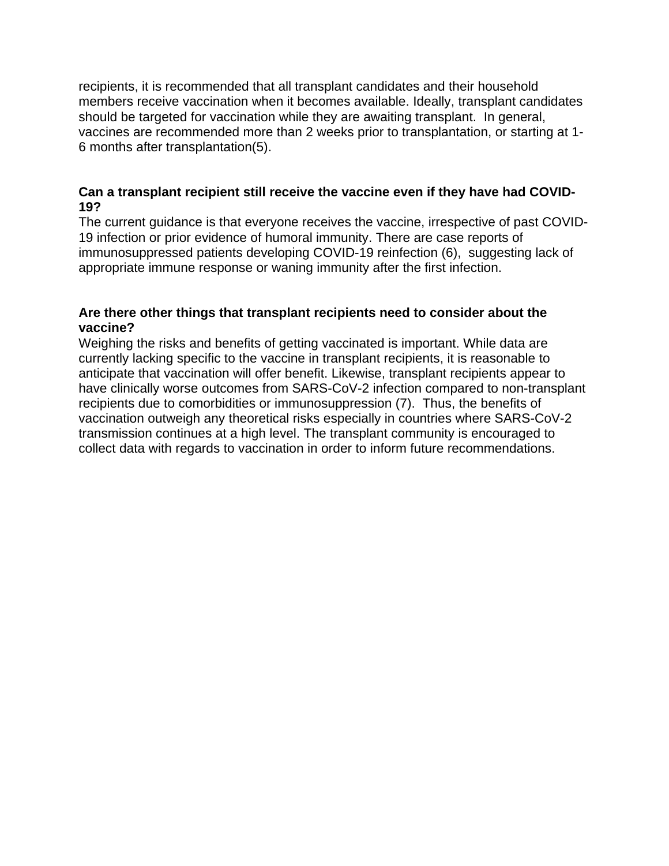recipients, it is recommended that all transplant candidates and their household members receive vaccination when it becomes available. Ideally, transplant candidates should be targeted for vaccination while they are awaiting transplant. In general, vaccines are recommended more than 2 weeks prior to transplantation, or starting at 1- 6 months after transplantation(5).

## **Can a transplant recipient still receive the vaccine even if they have had COVID-19?**

The current guidance is that everyone receives the vaccine, irrespective of past COVID-19 infection or prior evidence of humoral immunity. There are case reports of immunosuppressed patients developing COVID-19 reinfection (6), suggesting lack of appropriate immune response or waning immunity after the first infection.

## **Are there other things that transplant recipients need to consider about the vaccine?**

Weighing the risks and benefits of getting vaccinated is important. While data are currently lacking specific to the vaccine in transplant recipients, it is reasonable to anticipate that vaccination will offer benefit. Likewise, transplant recipients appear to have clinically worse outcomes from SARS-CoV-2 infection compared to non-transplant recipients due to comorbidities or immunosuppression (7). Thus, the benefits of vaccination outweigh any theoretical risks especially in countries where SARS-CoV-2 transmission continues at a high level. The transplant community is encouraged to collect data with regards to vaccination in order to inform future recommendations.